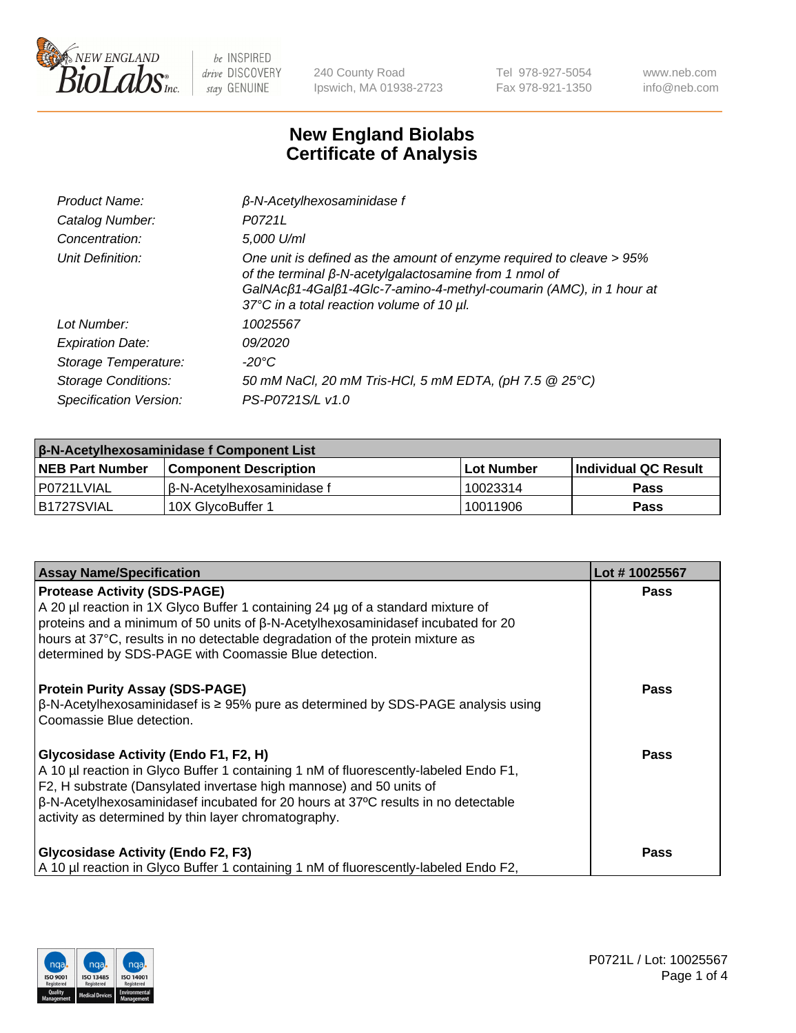

240 County Road Ipswich, MA 01938-2723 Tel 978-927-5054 Fax 978-921-1350 www.neb.com info@neb.com

## **New England Biolabs Certificate of Analysis**

| Product Name:              | $\beta$ -N-Acetylhexosaminidase f                                                                                                                                                                                                                                       |  |
|----------------------------|-------------------------------------------------------------------------------------------------------------------------------------------------------------------------------------------------------------------------------------------------------------------------|--|
| Catalog Number:            | P0721L                                                                                                                                                                                                                                                                  |  |
| Concentration:             | 5,000 U/ml                                                                                                                                                                                                                                                              |  |
| Unit Definition:           | One unit is defined as the amount of enzyme required to cleave > 95%<br>of the terminal $\beta$ -N-acetylgalactosamine from 1 nmol of<br>GalNAcß1-4Galß1-4Glc-7-amino-4-methyl-coumarin (AMC), in 1 hour at<br>37 $\degree$ C in a total reaction volume of 10 $\mu$ l. |  |
| Lot Number:                | 10025567                                                                                                                                                                                                                                                                |  |
| <b>Expiration Date:</b>    | 09/2020                                                                                                                                                                                                                                                                 |  |
| Storage Temperature:       | -20°C                                                                                                                                                                                                                                                                   |  |
| <b>Storage Conditions:</b> | 50 mM NaCl, 20 mM Tris-HCl, 5 mM EDTA, (pH 7.5 @ 25°C)                                                                                                                                                                                                                  |  |
| Specification Version:     | PS-P0721S/L v1.0                                                                                                                                                                                                                                                        |  |

| <b>β-N-Acetylhexosaminidase f Component List</b> |                              |            |                             |  |
|--------------------------------------------------|------------------------------|------------|-----------------------------|--|
| <b>NEB Part Number</b>                           | <b>Component Description</b> | Lot Number | <b>Individual QC Result</b> |  |
| P0721LVIAL                                       | l β-N-Acetvlhexosaminidase f | 10023314   | Pass                        |  |
| IB1727SVIAL                                      | 10X GlvcoBuffer 1            | 10011906   | <b>Pass</b>                 |  |

| <b>Assay Name/Specification</b>                                                                                                                                                                                                                                                                                                                            | Lot #10025567 |
|------------------------------------------------------------------------------------------------------------------------------------------------------------------------------------------------------------------------------------------------------------------------------------------------------------------------------------------------------------|---------------|
| <b>Protease Activity (SDS-PAGE)</b><br>A 20 µl reaction in 1X Glyco Buffer 1 containing 24 µg of a standard mixture of<br>proteins and a minimum of 50 units of β-N-Acetylhexosaminidasef incubated for 20<br>hours at 37°C, results in no detectable degradation of the protein mixture as<br>determined by SDS-PAGE with Coomassie Blue detection.       | <b>Pass</b>   |
| <b>Protein Purity Assay (SDS-PAGE)</b><br>$\beta$ -N-Acetylhexosaminidasef is ≥ 95% pure as determined by SDS-PAGE analysis using<br>l Coomassie Blue detection.                                                                                                                                                                                           | <b>Pass</b>   |
| <b>Glycosidase Activity (Endo F1, F2, H)</b><br>A 10 µl reaction in Glyco Buffer 1 containing 1 nM of fluorescently-labeled Endo F1,<br>F2, H substrate (Dansylated invertase high mannose) and 50 units of<br>  β-N-Acetylhexosaminidasef incubated for 20 hours at 37°C results in no detectable<br>activity as determined by thin layer chromatography. | Pass          |
| <b>Glycosidase Activity (Endo F2, F3)</b><br>A 10 µl reaction in Glyco Buffer 1 containing 1 nM of fluorescently-labeled Endo F2,                                                                                                                                                                                                                          | Pass          |

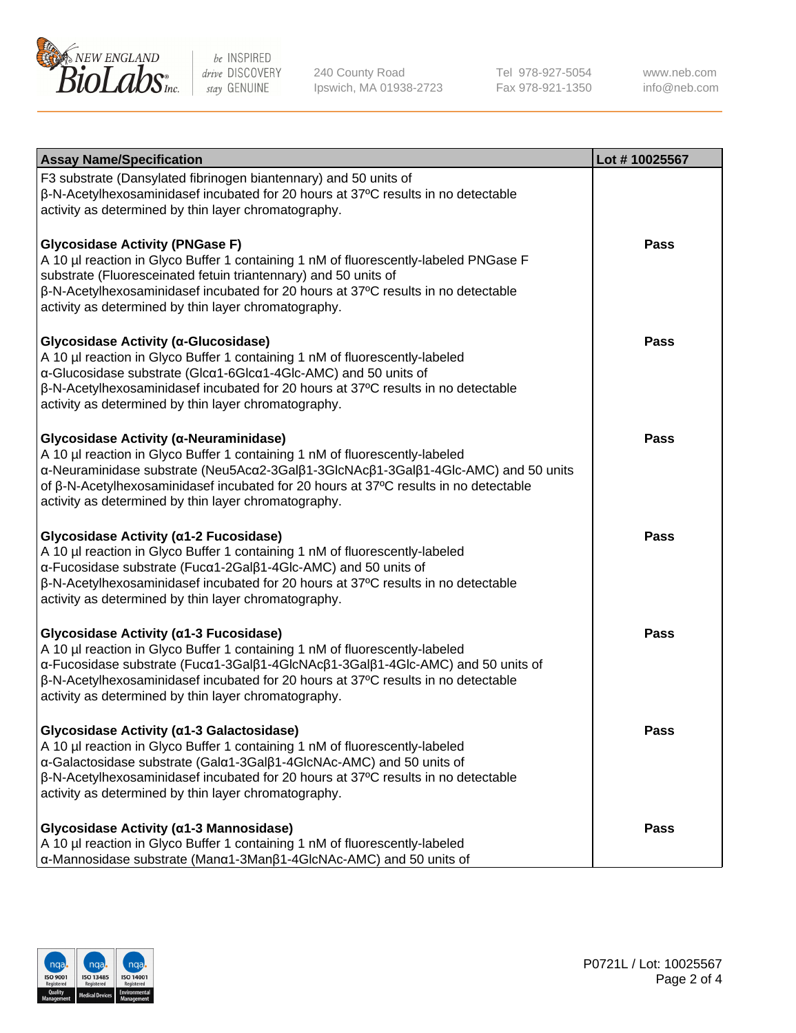

240 County Road Ipswich, MA 01938-2723 Tel 978-927-5054 Fax 978-921-1350 www.neb.com info@neb.com

| <b>Assay Name/Specification</b>                                                                                                                                                                                                                                                                                                                                              | Lot #10025567 |
|------------------------------------------------------------------------------------------------------------------------------------------------------------------------------------------------------------------------------------------------------------------------------------------------------------------------------------------------------------------------------|---------------|
| F3 substrate (Dansylated fibrinogen biantennary) and 50 units of<br>β-N-Acetylhexosaminidasef incubated for 20 hours at 37°C results in no detectable<br>activity as determined by thin layer chromatography.                                                                                                                                                                |               |
| <b>Glycosidase Activity (PNGase F)</b><br>A 10 µl reaction in Glyco Buffer 1 containing 1 nM of fluorescently-labeled PNGase F<br>substrate (Fluoresceinated fetuin triantennary) and 50 units of<br>β-N-Acetylhexosaminidasef incubated for 20 hours at 37°C results in no detectable<br>activity as determined by thin layer chromatography.                               | <b>Pass</b>   |
| Glycosidase Activity (α-Glucosidase)<br>A 10 µl reaction in Glyco Buffer 1 containing 1 nM of fluorescently-labeled<br>α-Glucosidase substrate (Glcα1-6Glcα1-4Glc-AMC) and 50 units of<br>$\beta$ -N-Acetylhexosaminidasef incubated for 20 hours at 37 $\degree$ C results in no detectable<br>activity as determined by thin layer chromatography.                         | <b>Pass</b>   |
| Glycosidase Activity (α-Neuraminidase)<br>A 10 µl reaction in Glyco Buffer 1 containing 1 nM of fluorescently-labeled<br>α-Neuraminidase substrate (Neu5Acα2-3Galβ1-3GlcNAcβ1-3Galβ1-4Glc-AMC) and 50 units<br>of $\beta$ -N-Acetylhexosaminidasef incubated for 20 hours at 37 $\degree$ C results in no detectable<br>activity as determined by thin layer chromatography. | <b>Pass</b>   |
| Glycosidase Activity (α1-2 Fucosidase)<br>A 10 µl reaction in Glyco Buffer 1 containing 1 nM of fluorescently-labeled<br>α-Fucosidase substrate (Fucα1-2Galβ1-4Glc-AMC) and 50 units of<br>$\beta$ -N-Acetylhexosaminidasef incubated for 20 hours at 37 $\degree$ C results in no detectable<br>activity as determined by thin layer chromatography.                        | <b>Pass</b>   |
| Glycosidase Activity (α1-3 Fucosidase)<br>A 10 µl reaction in Glyco Buffer 1 containing 1 nM of fluorescently-labeled<br>α-Fucosidase substrate (Fucα1-3Galβ1-4GlcNAcβ1-3Galβ1-4Glc-AMC) and 50 units of<br>β-N-Acetylhexosaminidasef incubated for 20 hours at 37°C results in no detectable<br>activity as determined by thin layer chromatography.                        | <b>Pass</b>   |
| Glycosidase Activity (a1-3 Galactosidase)<br>A 10 µl reaction in Glyco Buffer 1 containing 1 nM of fluorescently-labeled<br>α-Galactosidase substrate (Galα1-3Galβ1-4GlcNAc-AMC) and 50 units of<br>β-N-Acetylhexosaminidasef incubated for 20 hours at 37°C results in no detectable<br>activity as determined by thin layer chromatography.                                | Pass          |
| Glycosidase Activity (α1-3 Mannosidase)<br>A 10 µl reaction in Glyco Buffer 1 containing 1 nM of fluorescently-labeled<br>α-Mannosidase substrate (Manα1-3Manβ1-4GlcNAc-AMC) and 50 units of                                                                                                                                                                                 | Pass          |

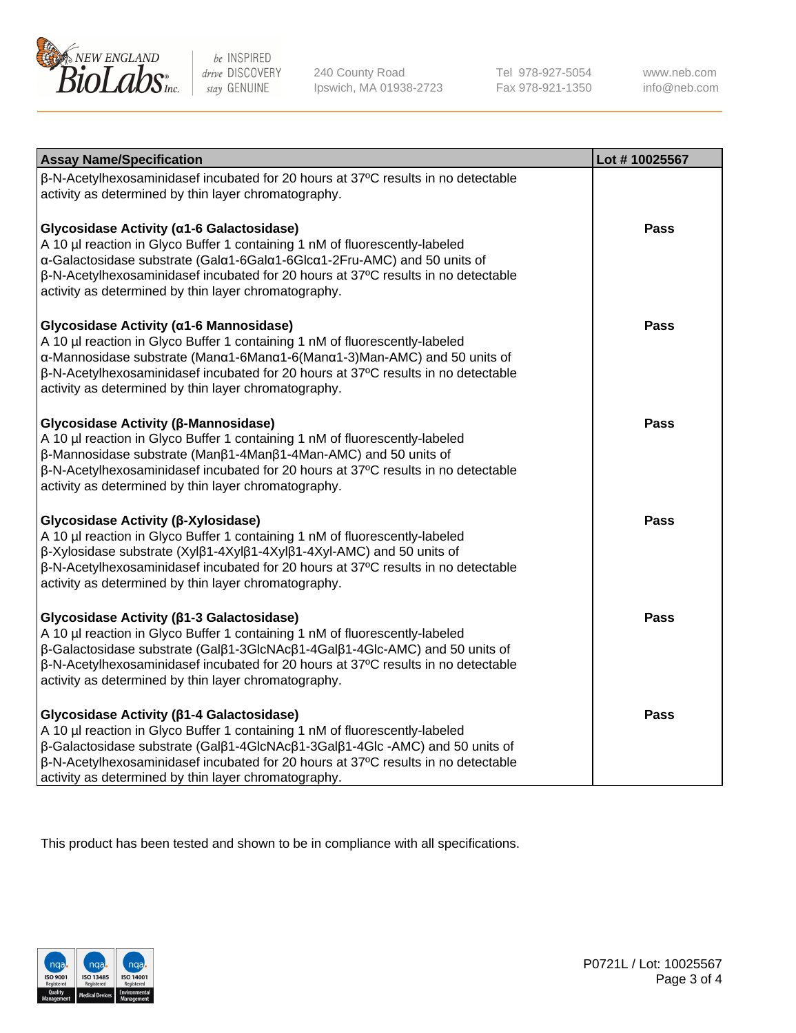

240 County Road Ipswich, MA 01938-2723 Tel 978-927-5054 Fax 978-921-1350 www.neb.com info@neb.com

| <b>Assay Name/Specification</b>                                                                                                                                                                                                                                                                                                                                                      | Lot #10025567 |
|--------------------------------------------------------------------------------------------------------------------------------------------------------------------------------------------------------------------------------------------------------------------------------------------------------------------------------------------------------------------------------------|---------------|
| β-N-Acetylhexosaminidasef incubated for 20 hours at 37°C results in no detectable<br>activity as determined by thin layer chromatography.                                                                                                                                                                                                                                            |               |
| Glycosidase Activity (a1-6 Galactosidase)<br>A 10 µl reaction in Glyco Buffer 1 containing 1 nM of fluorescently-labeled<br>α-Galactosidase substrate (Galα1-6Galα1-6Glcα1-2Fru-AMC) and 50 units of<br>$\beta$ -N-Acetylhexosaminidasef incubated for 20 hours at 37 $\degree$ C results in no detectable<br>activity as determined by thin layer chromatography.                   | <b>Pass</b>   |
| Glycosidase Activity (α1-6 Mannosidase)<br>A 10 µl reaction in Glyco Buffer 1 containing 1 nM of fluorescently-labeled<br>α-Mannosidase substrate (Manα1-6Manα1-6(Manα1-3)Man-AMC) and 50 units of<br>$\beta$ -N-Acetylhexosaminidasef incubated for 20 hours at 37 $\degree$ C results in no detectable<br>activity as determined by thin layer chromatography.                     | <b>Pass</b>   |
| Glycosidase Activity (β-Mannosidase)<br>A 10 µl reaction in Glyco Buffer 1 containing 1 nM of fluorescently-labeled<br>β-Mannosidase substrate (Manβ1-4Manβ1-4Man-AMC) and 50 units of<br>$\beta$ -N-Acetylhexosaminidasef incubated for 20 hours at 37 $\degree$ C results in no detectable<br>activity as determined by thin layer chromatography.                                 | <b>Pass</b>   |
| Glycosidase Activity (β-Xylosidase)<br>A 10 µl reaction in Glyco Buffer 1 containing 1 nM of fluorescently-labeled<br>β-Xylosidase substrate (Xylβ1-4Xylβ1-4Xylβ1-4Xyl-AMC) and 50 units of<br>β-N-Acetylhexosaminidasef incubated for 20 hours at 37°C results in no detectable<br>activity as determined by thin layer chromatography.                                             | <b>Pass</b>   |
| Glycosidase Activity (β1-3 Galactosidase)<br>A 10 µl reaction in Glyco Buffer 1 containing 1 nM of fluorescently-labeled<br>β-Galactosidase substrate (Galβ1-3GlcNAcβ1-4Galβ1-4Glc-AMC) and 50 units of<br>β-N-Acetylhexosaminidasef incubated for 20 hours at 37°C results in no detectable<br>activity as determined by thin layer chromatography.                                 | <b>Pass</b>   |
| Glycosidase Activity (β1-4 Galactosidase)<br>A 10 µl reaction in Glyco Buffer 1 containing 1 nM of fluorescently-labeled<br>$\beta$ -Galactosidase substrate (Gal $\beta$ 1-4GlcNAc $\beta$ 1-3Gal $\beta$ 1-4Glc -AMC) and 50 units of<br>β-N-Acetylhexosaminidasef incubated for 20 hours at 37°C results in no detectable<br>activity as determined by thin layer chromatography. | <b>Pass</b>   |

This product has been tested and shown to be in compliance with all specifications.